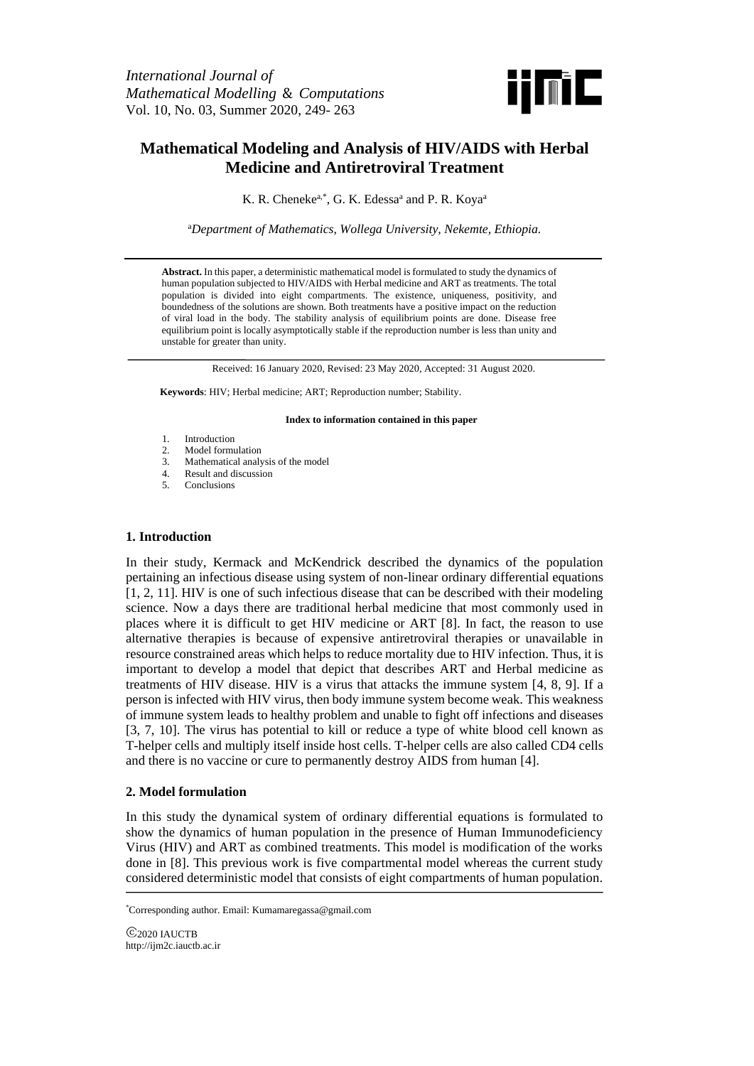

# **Mathematical Modeling and Analysis of HIV/AIDS with Herbal Medicine and Antiretroviral Treatment**

K. R. Cheneke<sup>a,\*</sup>, G. K. Edessa<sup>a</sup> and P. R. Koya<sup>a</sup>

<sup>a</sup>*Department of Mathematics, Wollega University, Nekemte, Ethiopia.*

**Abstract.** In this paper, a deterministic mathematical model is formulated to study the dynamics of human population subjected to HIV/AIDS with Herbal medicine and ART as treatments. The total population is divided into eight compartments. The existence, uniqueness, positivity, and boundedness of the solutions are shown. Both treatments have a positive impact on the reduction of viral load in the body. The stability analysis of equilibrium points are done. Disease free equilibrium point is locally asymptotically stable if the reproduction number is less than unity and unstable for greater than unity.

Received: 16 January 2020, Revised: 23 May 2020, Accepted: 31 August 2020.

**Keywords**: HIV; Herbal medicine; ART; Reproduction number; Stability.

**Index to information contained in this paper**

- 1. Introduction
- 2. Model formulation<br>3. Mathematical analy
- 3. Mathematical analysis of the model
- 4. Result and discussion
- 5. Conclusions

## **1. Introduction**

In their study, Kermack and McKendrick described the dynamics of the population pertaining an infectious disease using system of non-linear ordinary differential equations [1, 2, 11]. HIV is one of such infectious disease that can be described with their modeling science. Now a days there are traditional herbal medicine that most commonly used in places where it is difficult to get HIV medicine or ART [8]. In fact, the reason to use alternative therapies is because of expensive antiretroviral therapies or unavailable in resource constrained areas which helps to reduce mortality due to HIV infection. Thus, it is important to develop a model that depict that describes ART and Herbal medicine as treatments of HIV disease. HIV is a virus that attacks the immune system [4, 8, 9]. If a person is infected with HIV virus, then body immune system become weak. This weakness of immune system leads to healthy problem and unable to fight off infections and diseases [3, 7, 10]. The virus has potential to kill or reduce a type of white blood cell known as T-helper cells and multiply itself inside host cells. T-helper cells are also called CD4 cells and there is no vaccine or cure to permanently destroy AIDS from human [4].

# **2. Model formulation**

In this study the dynamical system of ordinary differential equations is formulated to show the dynamics of human population in the presence of Human Immunodeficiency Virus (HIV) and ART as combined treatments. This model is modification of the works done in [8]. This previous work is five compartmental model whereas the current study considered deterministic model that consists of eight compartments of human population.

\*Corresponding author. Email: Kumamaregassa@gmail.com

C<sub>2020</sub> IAUCTB http://ijm2c.iauctb.ac.ir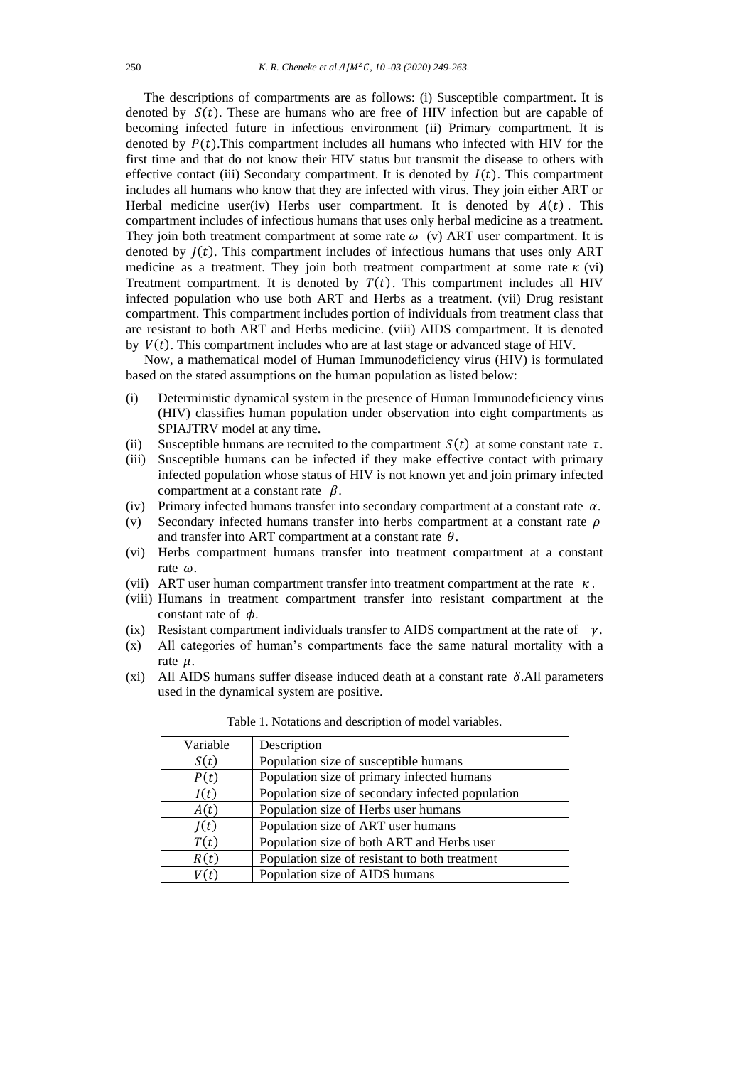The descriptions of compartments are as follows: (i) Susceptible compartment. It is denoted by  $S(t)$ . These are humans who are free of HIV infection but are capable of becoming infected future in infectious environment (ii) Primary compartment. It is denoted by  $P(t)$ . This compartment includes all humans who infected with HIV for the first time and that do not know their HIV status but transmit the disease to others with effective contact (iii) Secondary compartment. It is denoted by  $I(t)$ . This compartment includes all humans who know that they are infected with virus. They join either ART or Herbal medicine user(iv) Herbs user compartment. It is denoted by  $A(t)$ . This compartment includes of infectious humans that uses only herbal medicine as a treatment. They join both treatment compartment at some rate  $\omega$  (v) ART user compartment. It is denoted by  $J(t)$ . This compartment includes of infectious humans that uses only ART medicine as a treatment. They join both treatment compartment at some rate  $\kappa$  (vi) Treatment compartment. It is denoted by  $T(t)$ . This compartment includes all HIV infected population who use both ART and Herbs as a treatment. (vii) Drug resistant compartment. This compartment includes portion of individuals from treatment class that are resistant to both ART and Herbs medicine. (viii) AIDS compartment. It is denoted by  $V(t)$ . This compartment includes who are at last stage or advanced stage of HIV.

Now, a mathematical model of Human Immunodeficiency virus (HIV) is formulated based on the stated assumptions on the human population as listed below:

- (i) Deterministic dynamical system in the presence of Human Immunodeficiency virus (HIV) classifies human population under observation into eight compartments as SPIAJTRV model at any time.
- (ii) Susceptible humans are recruited to the compartment  $S(t)$  at some constant rate  $\tau$ .
- (iii) Susceptible humans can be infected if they make effective contact with primary infected population whose status of HIV is not known yet and join primary infected compartment at a constant rate  $\beta$ .
- (iv) Primary infected humans transfer into secondary compartment at a constant rate  $\alpha$ .
- (v) Secondary infected humans transfer into herbs compartment at a constant rate  $\rho$ and transfer into ART compartment at a constant rate  $\theta$ .
- (vi) Herbs compartment humans transfer into treatment compartment at a constant rate  $\omega$
- (vii) ART user human compartment transfer into treatment compartment at the rate  $\kappa$ .
- (viii) Humans in treatment compartment transfer into resistant compartment at the constant rate of  $\phi$ .
- (ix) Resistant compartment individuals transfer to AIDS compartment at the rate of  $\gamma$ .
- (x) All categories of human's compartments face the same natural mortality with a rate  $\mu$ .
- (xi) All AIDS humans suffer disease induced death at a constant rate  $\delta$ .All parameters used in the dynamical system are positive.

| Variable | Description                                      |
|----------|--------------------------------------------------|
| S(t)     | Population size of susceptible humans            |
| P(t)     | Population size of primary infected humans       |
| I(t)     | Population size of secondary infected population |
| A(t)     | Population size of Herbs user humans             |
| I(t)     | Population size of ART user humans               |
| T(t)     | Population size of both ART and Herbs user       |
| R(t)     | Population size of resistant to both treatment   |
|          | Population size of AIDS humans                   |

Table 1. Notations and description of model variables.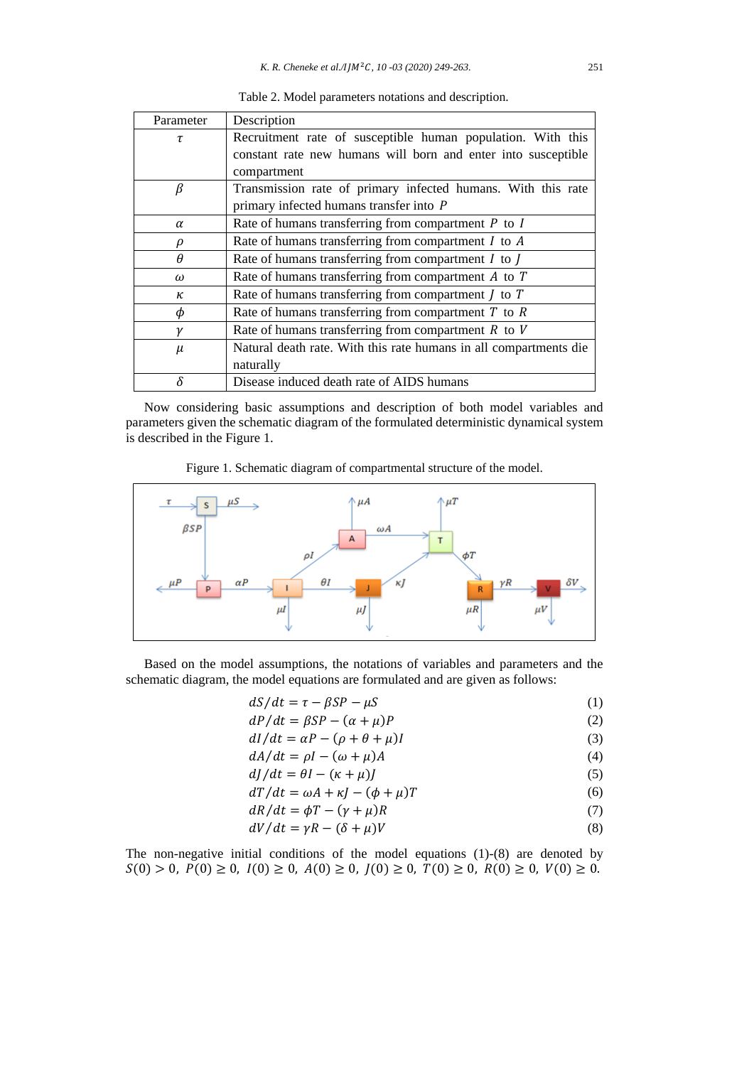| Parameter | Description                                                       |
|-----------|-------------------------------------------------------------------|
| τ         | Recruitment rate of susceptible human population. With this       |
|           | constant rate new humans will born and enter into susceptible     |
|           | compartment                                                       |
| β         | Transmission rate of primary infected humans. With this rate      |
|           | primary infected humans transfer into P                           |
| $\alpha$  | Rate of humans transferring from compartment $P$ to $I$           |
| ρ         | Rate of humans transferring from compartment $I$ to $A$           |
| $\theta$  | Rate of humans transferring from compartment $I$ to $I$           |
| $\omega$  | Rate of humans transferring from compartment $A$ to $T$           |
| κ         | Rate of humans transferring from compartment $J$ to $T$           |
| φ         | Rate of humans transferring from compartment $T$ to $R$           |
|           | Rate of humans transferring from compartment $R$ to $V$           |
| $\mu$     | Natural death rate. With this rate humans in all compartments die |
|           | naturally                                                         |
|           | Disease induced death rate of AIDS humans                         |

Table 2. Model parameters notations and description.

Now considering basic assumptions and description of both model variables and parameters given the schematic diagram of the formulated deterministic dynamical system is described in the Figure 1.

Figure 1. Schematic diagram of compartmental structure of the model.



Based on the model assumptions, the notations of variables and parameters and the schematic diagram, the model equations are formulated and are given as follows:

| $dS/dt = \tau - \beta SP - \mu S$ |  | (1) |
|-----------------------------------|--|-----|
|-----------------------------------|--|-----|

- $dP/dt = \beta SP (\alpha + \mu)P$  (2)
- $dI/dt = \alpha P (\rho + \theta + \mu)I$  (3)
- $dA/dt = \rho I (\omega + \mu)A$  (4)
- $dJ/dt = \theta I (\kappa + \mu)J$  (5)
- $dT/dt = \omega A + \kappa I (\phi + \mu)T$  (6)
- $dR/dt = \phi T (\gamma + \mu)R$  (7)
- $dV/dt = \gamma R (\delta + \mu)V$  (8)

The non-negative initial conditions of the model equations (1)-(8) are denoted by  $(S(0) > 0, P(0) \ge 0, I(0) \ge 0, A(0) \ge 0, J(0) \ge 0, T(0) \ge 0, R(0) \ge 0, V(0) \ge 0.$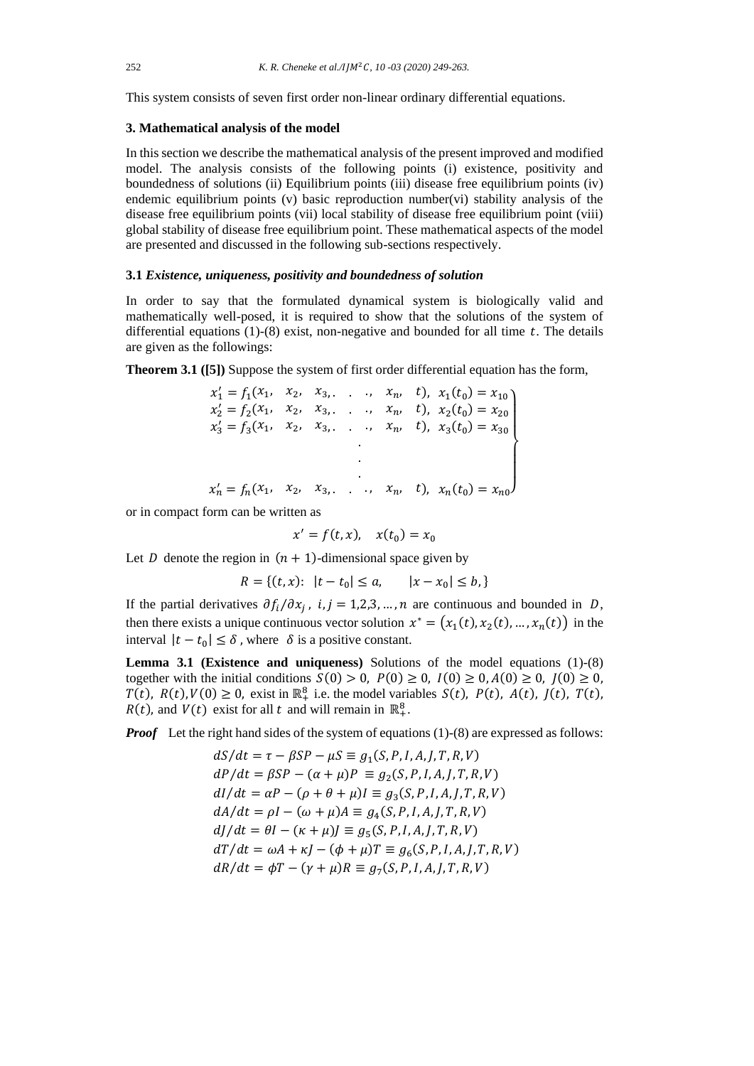This system consists of seven first order non-linear ordinary differential equations.

#### **3. Mathematical analysis of the model**

In this section we describe the mathematical analysis of the present improved and modified model. The analysis consists of the following points (i) existence, positivity and boundedness of solutions (ii) Equilibrium points (iii) disease free equilibrium points (iv) endemic equilibrium points (v) basic reproduction number(vi) stability analysis of the disease free equilibrium points (vii) local stability of disease free equilibrium point (viii) global stability of disease free equilibrium point. These mathematical aspects of the model are presented and discussed in the following sub-sections respectively.

# **3.1** *Existence, uniqueness, positivity and boundedness of solution*

In order to say that the formulated dynamical system is biologically valid and mathematically well-posed, it is required to show that the solutions of the system of differential equations (1)-(8) exist, non-negative and bounded for all time  $t$ . The details are given as the followings:

**Theorem 3.1 ([5])** Suppose the system of first order differential equation has the form,

$$
x'_{1} = f_{1}(x_{1}, x_{2}, x_{3}, \dots, x_{n}, t), x_{1}(t_{0}) = x_{10}
$$
  
\n
$$
x'_{2} = f_{2}(x_{1}, x_{2}, x_{3}, \dots, x_{n}, t), x_{2}(t_{0}) = x_{20}
$$
  
\n
$$
x'_{3} = f_{3}(x_{1}, x_{2}, x_{3}, \dots, x_{n}, t), x_{3}(t_{0}) = x_{30}
$$
  
\n
$$
\vdots
$$
  
\n
$$
x'_{n} = f_{n}(x_{1}, x_{2}, x_{3}, \dots, x_{n}, t), x_{n}(t_{0}) = x_{n0}
$$

or in compact form can be written as

$$
x' = f(t, x), \quad x(t_0) = x_0
$$

Let D denote the region in  $(n + 1)$ -dimensional space given by

$$
R = \{(t, x): \ |t - t_0| \le a, \qquad |x - x_0| \le b, \}
$$

If the partial derivatives  $\partial f_i/\partial x_j$ , i,  $j = 1,2,3,...,n$  are continuous and bounded in D, then there exists a unique continuous vector solution  $x^* = (x_1(t), x_2(t), ..., x_n(t))$  in the interval  $|t - t_0| \le \delta$ , where  $\delta$  is a positive constant.

**Lemma 3.1 (Existence and uniqueness)** Solutions of the model equations (1)-(8) together with the initial conditions  $S(0) > 0$ ,  $P(0) \ge 0$ ,  $I(0) \ge 0$ ,  $A(0) \ge 0$ ,  $J(0) \ge 0$ ,  $T(t)$ ,  $R(t)$ ,  $V(0) \ge 0$ , exist in  $\mathbb{R}^8_+$  i.e. the model variables  $S(t)$ ,  $P(t)$ ,  $A(t)$ ,  $J(t)$ ,  $T(t)$ ,  $R(t)$ , and  $V(t)$  exist for all t and will remain in  $\mathbb{R}^8_+$ .

*Proof* Let the right hand sides of the system of equations (1)-(8) are expressed as follows:

 $dS/dt = \tau - \beta SP - \mu S \equiv g_1(S, P, I, A, J, T, R, V)$  $dP/dt = \beta SP - (\alpha + \mu)P \equiv g_2(S, P, I, A, J, T, R, V)$  $dI/dt = \alpha P - (\rho + \theta + \mu)I \equiv g_3(S, P, I, A, J, T, R, V)$  $dA/dt = \rho I - (\omega + \mu)A \equiv g_4(S, P, I, A, J, T, R, V)$  $dJ/dt = \theta I - (\kappa + \mu)J \equiv g_5(S, P, I, A, J, T, R, V)$  $dT/dt = \omega A + \kappa J - (\phi + \mu)T \equiv g_6(S, P, I, A, J, T, R, V)$  $dR/dt = \phi T - (\gamma + \mu)R \equiv g_7(S, P, I, A, J, T, R, V)$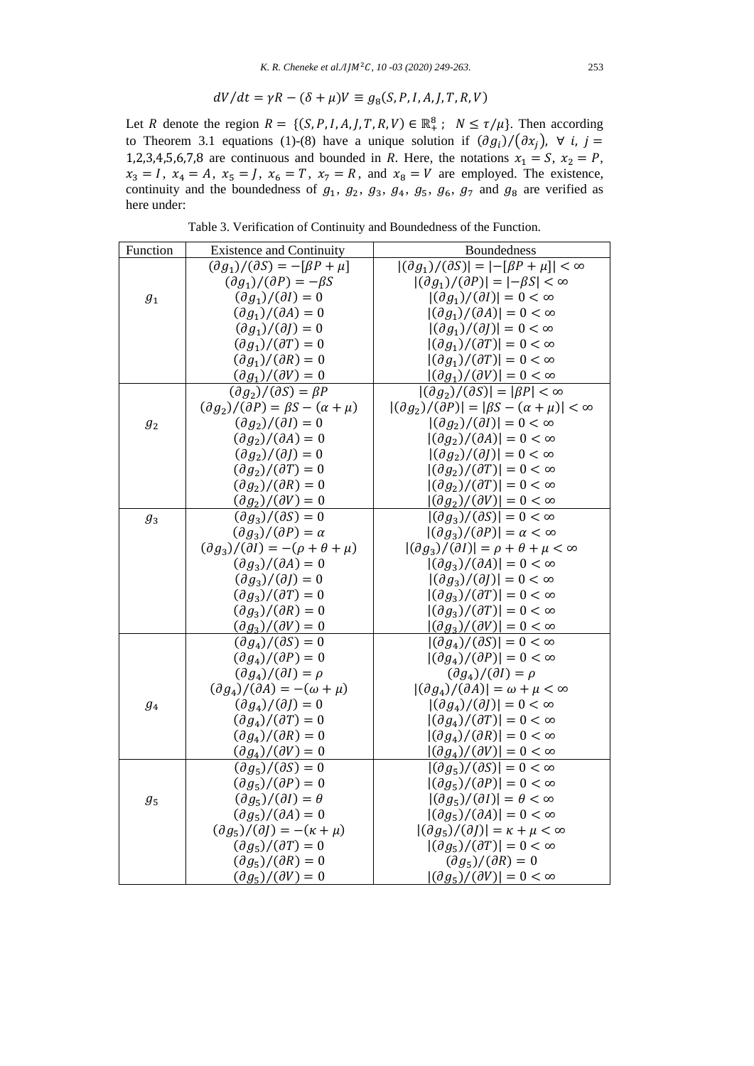$$
dV/dt = \gamma R - (\delta + \mu)V \equiv g_8(S, P, I, A, J, T, R, V)
$$

Let R denote the region  $R = \{(S, P, I, A, J, T, R, V) \in \mathbb{R}^8_+ : N \leq \tau/\mu\}$ . Then according to Theorem 3.1 equations (1)-(8) have a unique solution if  $(\partial g_i)/(\partial x_j)$ ,  $\forall$  i,  $j =$ 1,2,3,4,5,6,7,8 are continuous and bounded in R. Here, the notations  $x_1 = S$ ,  $x_2 = P$ ,  $x_3 = I$ ,  $x_4 = A$ ,  $x_5 = J$ ,  $x_6 = T$ ,  $x_7 = R$ , and  $x_8 = V$  are employed. The existence, continuity and the boundedness of  $g_1$ ,  $g_2$ ,  $g_3$ ,  $g_4$ ,  $g_5$ ,  $g_6$ ,  $g_7$  and  $g_8$  are verified as here under:

Table 3. Verification of Continuity and Boundedness of the Function.

| Function         | <b>Existence and Continuity</b>                                    | <b>Boundedness</b>                                                                                  |
|------------------|--------------------------------------------------------------------|-----------------------------------------------------------------------------------------------------|
|                  | $(\partial g_1)/(\partial S) = -[\beta P + \mu]$                   | $ (\partial g_1)/(\partial S)  =  -[{\beta}P + \mu]  < \infty$                                      |
|                  | $\left(\partial g_1\right)/\left(\partial P\right) = -\beta S$     | $ (\partial g_1)/(\partial P)  =  -\beta S  < \infty$                                               |
| $\mathfrak{g}_1$ | $\left(\partial g_1\right)/\left(\partial I\right)=0$              | $ (\partial g_1)/(\partial I)  = 0 < \infty$                                                        |
|                  | $(\partial g_1)/(\partial A)=0$                                    | $ (\partial g_1)/(\partial A) =0<\infty$                                                            |
|                  | $(\partial g_1)/(\partial J)=0$                                    | $ (\partial g_1)/(\partial J) =0<\infty$                                                            |
|                  | $(\partial g_1)/(\partial T)=0$                                    | $ (\partial g_1)/(\partial T)  = 0 < \infty$                                                        |
|                  | $(\partial g_1)/(\partial R)=0$                                    | $ (\partial g_1)/(\partial T)  = 0 < \infty$                                                        |
|                  | $(\partial g_1)/(\partial V)=0$                                    | $ (\partial g_1)/(\partial V)  = 0 < \infty$                                                        |
|                  | $(\partial g_2)/(\partial S) = \beta P$                            | $ (\partial g_2)/(\partial S)  =  \beta P  < \infty$                                                |
|                  | $(\partial g_2)/(\partial P) = \beta S - (\alpha + \mu)$           | $ (\partial g_2)/(\partial P)  =  \beta S - (\alpha + \mu)  < \infty$                               |
| $\mathfrak{g}_2$ | $(\partial g_2)/(\partial I)=0$                                    | $ (\partial g_2)/(\partial I)  = 0 < \infty$                                                        |
|                  | $(\partial g_2)/(\partial A)=0$                                    | $ (\partial g_2)/(\partial A) =0<\infty$                                                            |
|                  | $(\partial g_2)/(\partial I)=0$                                    | $ (\partial g_2)/(\partial J)  = 0 < \infty$                                                        |
|                  | $(\partial g_2)/(\partial T)=0$                                    | $ (\partial g_2)/(\partial T)  = 0 < \infty$                                                        |
|                  | $(\partial g_2)/(\partial R)=0$                                    | $ (\partial g_2)/(\partial T)  = 0 < \infty$                                                        |
|                  | $\left(\partial g_2\right)/\left(\partial V\right)=0$              | $ (\partial g_2)/(\partial V)  = 0 < \infty$                                                        |
| $g_3$            | $(\partial g_3)/(\partial S)=0$                                    | $ (\partial g_3)/(\partial S)  = 0 < \infty$                                                        |
|                  | $(\partial g_3)/(\partial P) = \alpha$                             | $ (\partial g_3)/(\partial P)  = \alpha < \infty$                                                   |
|                  | $(\partial g_3)/(\partial I) = -(\rho + \theta + \mu)$             | $ (\partial g_3)/(\partial I)  = \rho + \theta + \mu < \infty$                                      |
|                  | $(\partial g_3)/(\partial A)=0$                                    | $ (\partial g_3)/(\partial A) =0<\infty$                                                            |
|                  | $(\partial g_3)/(\partial J)=0$                                    | $ (\partial g_3)/(\partial J)  = 0 < \infty$                                                        |
|                  | $(\partial g_3)/(\partial T)=0$                                    | $ (\partial g_3)/(\partial T)  = 0 < \infty$                                                        |
|                  | $(\partial g_3)/(\partial R)=0$                                    | $ (\partial g_3)/(\partial T)  = 0 < \infty$                                                        |
|                  | $(\partial g_3)/(\partial V)=0$                                    | $ (\partial g_3)/(\partial V)  = 0 < \infty$                                                        |
|                  | $\left(\frac{\partial g_4}{\partial S}\right) = 0$                 | $ (\partial g_4)/(\partial S)  = 0 < \infty$                                                        |
|                  | $(\partial g_4)/(\partial P)=0$                                    | $ (\partial g_4)/(\partial P)  = 0 < \infty$                                                        |
|                  | $(\partial g_4)/(\partial I) = \rho$                               | $\left(\frac{\partial g_4}{\partial I}\right) = \rho$                                               |
| $g_4$            | $\left(\frac{\partial g_4}{\partial A}\right) = -(\omega + \mu)$   | $ (\partial g_4)/(\partial A)  = \omega + \mu < \infty$<br>$ (\partial g_4)/(\partial J) =0<\infty$ |
|                  | $(\partial g_4)/(\partial J)=0$<br>$(\partial g_4)/(\partial T)=0$ | $ (\partial g_4)/(\partial T)  = 0 < \infty$                                                        |
|                  | $(\partial g_4)/(\partial R)=0$                                    | $ (\partial g_4)/(\partial R) =0<\infty$                                                            |
|                  | $(\partial g_4)/(\partial V)=0$                                    | $ (\partial g_4)/(\partial V) =0<\infty$                                                            |
|                  | $(\partial g_5)/(\partial S) = 0$                                  | $ (\partial g_5)/(\partial S)  = 0 < \infty$                                                        |
|                  | $(\partial g_5)/(\partial P)=0$                                    | $ (\partial g_5)/(\partial P)  = 0 < \infty$                                                        |
| $g_5$            | $(\partial g_5)/(\partial I) = \theta$                             | $ (\partial g_5)/(\partial I)  = \theta < \infty$                                                   |
|                  | $(\partial g_5)/(\partial A) = 0$                                  | $ (\partial g_5)/(\partial A)  = 0 < \infty$                                                        |
|                  | $\left(\frac{\partial g_5}{\partial t}\right) = -(\kappa + \mu)$   | $ (\partial g_5)/(\partial I)  = \kappa + \mu < \infty$                                             |
|                  | $(\partial g_5)/(\partial T)=0$                                    | $ (\partial g_5)/(\partial T)  = 0 < \infty$                                                        |
|                  | $(\partial g_5)/(\partial R)=0$                                    | $(\partial g_5)/(\partial R)=0$                                                                     |
|                  | $(\partial g_5)/(\partial V)=0$                                    | $ (\partial g_5)/(\partial V)  = 0 < \infty$                                                        |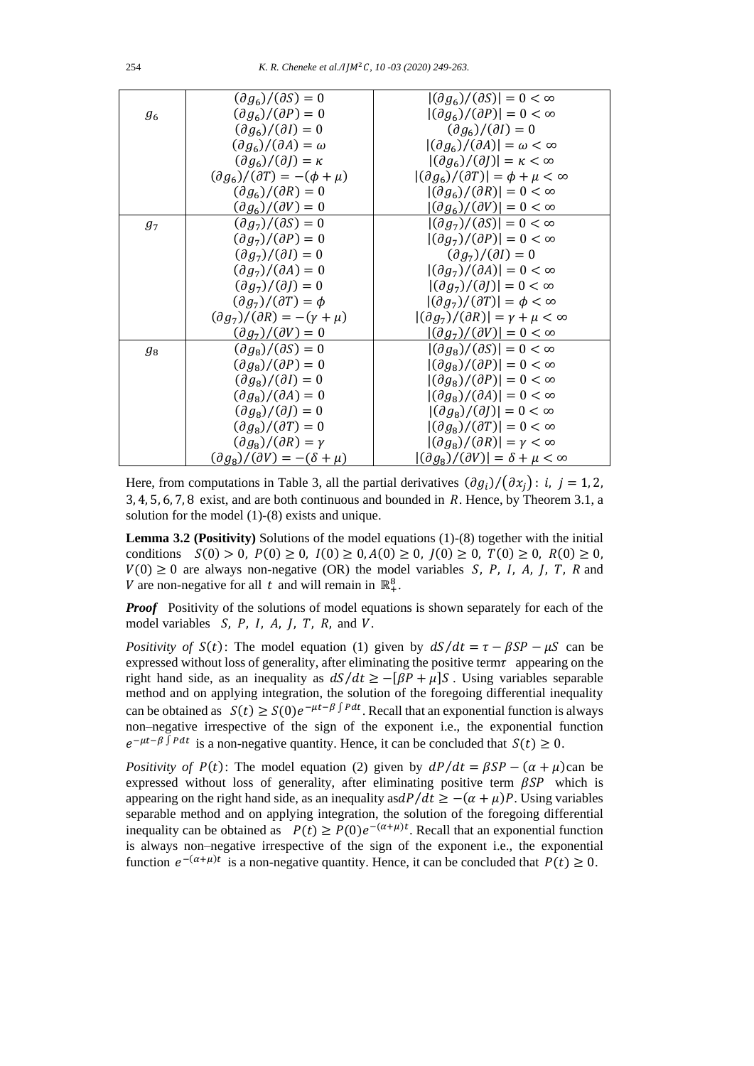|             | $\left(\partial g_6\right)/\left(\partial S\right)=0$                                          | $ (\partial g_6)/(\partial S)  = 0 < \infty$            |
|-------------|------------------------------------------------------------------------------------------------|---------------------------------------------------------|
| $g_{\rm 6}$ | $(\partial g_6)/(\partial P)=0$                                                                | $ (\partial g_6)/(\partial P)  = 0 < \infty$            |
|             | $(\partial g_6)/(\partial I)=0$                                                                | $\left(\partial g_6\right)/\left(\partial I\right)=0$   |
|             | $(\partial g_6)/(\partial A) = \omega$                                                         | $ (\partial g_6)/(\partial A)  = \omega < \infty$       |
|             | $\left(\frac{\partial g}{\partial t}\right)/\left(\frac{\partial f}{\partial t}\right)=\kappa$ | $ (\partial g_6)/(\partial J)  = \kappa < \infty$       |
|             | $\left(\frac{\partial g_6}{\partial T}\right) = -(\phi + \mu)$                                 | $ (\partial g_6)/(\partial T)  = \phi + \mu < \infty$   |
|             | $(\partial g_6)/(\partial R)=0$                                                                | $ (\partial g_6)/(\partial R)  = 0 < \infty$            |
|             | $\left(\partial g_6\right)/\left(\partial V\right)=0$                                          | $ (\partial g_6)/(\partial V)  = 0 < \infty$            |
| $g_7$       | $(\partial g_7)/(\partial S) = 0$                                                              | $ (\partial g_7)/(\partial S)  = 0 < \infty$            |
|             | $(\partial g_7)/(\partial P)=0$                                                                | $ (\partial g_7)/(\partial P)  = 0 < \infty$            |
|             | $\left(\frac{\partial g}{\partial t}\right) / \left(\frac{\partial I}{\partial t}\right) = 0$  | $(\partial g_7)/(\partial I)=0$                         |
|             | $(\partial g_7)/(\partial A)=0$                                                                | $ (\partial g_7)/(\partial A)  = 0 < \infty$            |
|             | $\left(\frac{\partial g}{\partial}(\partial f)\right) = 0$                                     | $ (\partial g_7)/(\partial I)  = 0 < \infty$            |
|             | $(\partial g_7)/(\partial T) = \phi$                                                           | $ (\partial g_7)/(\partial T)  = \phi < \infty$         |
|             | $\left(\frac{\partial g_7}{\partial R}\right) = -\left(\gamma + \mu\right)$                    | $ (\partial g_7)/(\partial R)  = \gamma + \mu < \infty$ |
|             | $(\partial g_7)/(\partial V)=0$                                                                | $ (\partial g_7)/(\partial V)  = 0 < \infty$            |
| $g_8$       | $(\partial g_8)/(\partial S)=0$                                                                | $ (\partial g_8)/(\partial S)  = 0 < \infty$            |
|             | $(\partial g_{\rm s})/(\partial P)=0$                                                          | $ (\partial g_8)/(\partial P)  = 0 < \infty$            |
|             | $(\partial g_8)/(\partial I)=0$                                                                | $ (\partial g_8)/(\partial P)  = 0 < \infty$            |
|             | $(\partial g_{\rm s})/(\partial A) = 0$                                                        | $ (\partial g_8)/(\partial A) =0<\infty$                |
|             | $(\partial g_8)/(\partial I)=0$                                                                | $ (\partial g_8)/(\partial I) =0<\infty$                |
|             | $(\partial g_8)/(\partial T)=0$                                                                | $ (\partial g_8)/(\partial T)  = 0 < \infty$            |
|             | $(\partial g_8)/(\partial R) = \gamma$                                                         | $ (\partial g_8)/(\partial R)  = \gamma < \infty$       |
|             | $\left(\partial g_8\right)/\left(\partial V\right) = -\left(\delta + \mu\right)$               | $ (\partial g_8)/(\partial V)  = \delta + \mu < \infty$ |

Here, from computations in Table 3, all the partial derivatives  $(\partial g_i)/(\partial x_j)$ : *i*, *j* = 1, 2,  $3, 4, 5, 6, 7, 8$  exist, and are both continuous and bounded in R. Hence, by Theorem 3.1, a solution for the model (1)-(8) exists and unique.

**Lemma 3.2 (Positivity)** Solutions of the model equations (1)-(8) together with the initial conditions  $S(0) > 0$ ,  $P(0) \ge 0$ ,  $I(0) \ge 0$ ,  $A(0) \ge 0$ ,  $I(0) \ge 0$ ,  $T(0) \ge 0$ ,  $R(0) \ge 0$ ,  $V(0) \ge 0$  are always non-negative (OR) the model variables *S*, *P*, *I*, *A*, *J*, *T*, *R* and V are non-negative for all t and will remain in  $\mathbb{R}^8_+$ .

*Proof* Positivity of the solutions of model equations is shown separately for each of the model variables  $S, P, I, A, J, T, R$ , and  $V$ .

*Positivity of*  $S(t)$ : The model equation (1) given by  $dS/dt = \tau - \beta SP - \mu S$  can be expressed without loss of generality, after eliminating the positive term  $\tau$  appearing on the right hand side, as an inequality as  $dS/dt \ge -[\beta P + \mu]S$ . Using variables separable method and on applying integration, the solution of the foregoing differential inequality can be obtained as  $S(t) \ge S(0)e^{-\mu t - \beta \int P dt}$ . Recall that an exponential function is always non–negative irrespective of the sign of the exponent i.e., the exponential function  $e^{-\mu t-\beta \int P dt}$  is a non-negative quantity. Hence, it can be concluded that  $S(t) \geq 0$ .

*Positivity of*  $P(t)$ : The model equation (2) given by  $dP/dt = \beta SP - (\alpha + \mu)$ can be expressed without loss of generality, after eliminating positive term  $\beta SP$  which is appearing on the right hand side, as an inequality asd $P/dt \geq -(\alpha + \mu)P$ . Using variables separable method and on applying integration, the solution of the foregoing differential inequality can be obtained as  $P(t) \ge P(0)e^{-(\alpha+\mu)t}$ . Recall that an exponential function is always non–negative irrespective of the sign of the exponent i.e., the exponential function  $e^{-(\alpha+\mu)t}$  is a non-negative quantity. Hence, it can be concluded that  $P(t) \ge 0$ .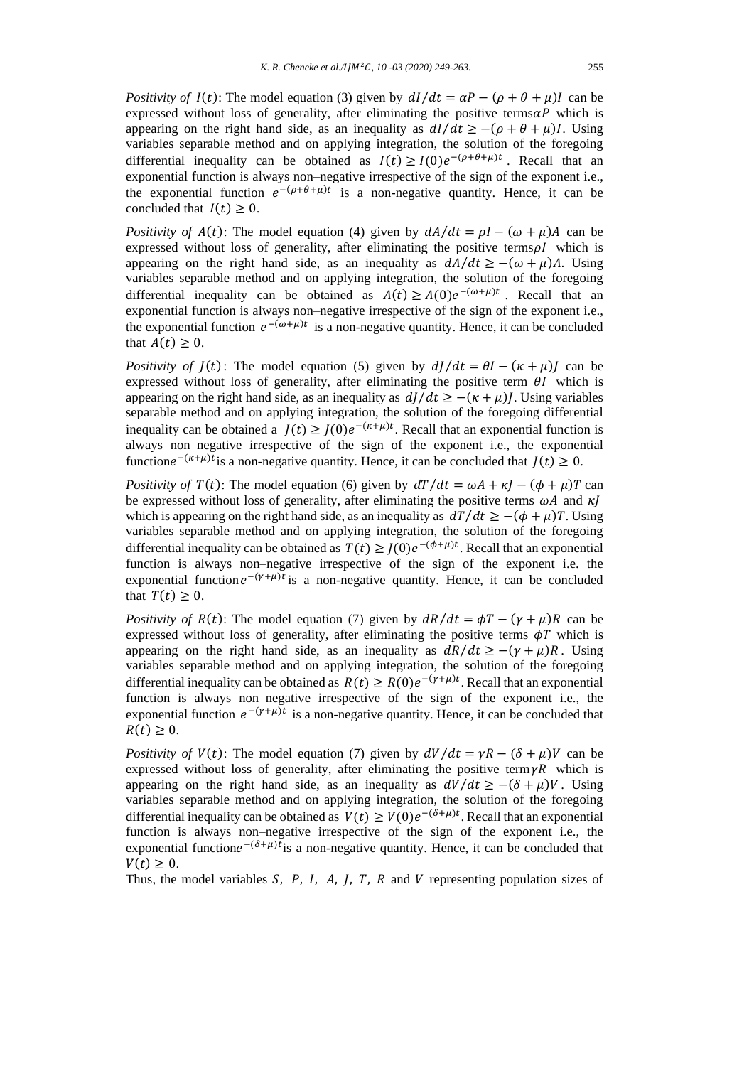*Positivity of*  $I(t)$ : The model equation (3) given by  $dI/dt = \alpha P - (\rho + \theta + \mu)I$  can be expressed without loss of generality, after eliminating the positive terms  $\alpha P$  which is appearing on the right hand side, as an inequality as  $dI/dt \geq -(\rho + \theta + \mu)I$ . Using variables separable method and on applying integration, the solution of the foregoing differential inequality can be obtained as  $I(t) \geq I(0)e^{-(\rho+\theta+\mu)t}$ . Recall that an exponential function is always non–negative irrespective of the sign of the exponent i.e., the exponential function  $e^{-(\rho+\theta+\mu)t}$  is a non-negative quantity. Hence, it can be concluded that  $I(t) > 0$ .

*Positivity of*  $A(t)$ : The model equation (4) given by  $dA/dt = \rho I - (\omega + \mu)A$  can be expressed without loss of generality, after eliminating the positive terms  $\rho I$  which is appearing on the right hand side, as an inequality as  $dA/dt \ge -(\omega + \mu)A$ . Using variables separable method and on applying integration, the solution of the foregoing differential inequality can be obtained as  $A(t) \ge A(0)e^{-(\omega + \mu)t}$ . Recall that an exponential function is always non–negative irrespective of the sign of the exponent i.e., the exponential function  $e^{-(\omega+\mu)t}$  is a non-negative quantity. Hence, it can be concluded that  $A(t) \geq 0$ .

*Positivity of*  $J(t)$ : The model equation (5) given by  $dJ/dt = \theta I - (\kappa + \mu)J$  can be expressed without loss of generality, after eliminating the positive term  $\theta I$  which is appearing on the right hand side, as an inequality as  $dI/dt \geq -(k + \mu)I$ . Using variables separable method and on applying integration, the solution of the foregoing differential inequality can be obtained a  $J(t) \geq J(0)e^{-(\kappa+\mu)t}$ . Recall that an exponential function is always non–negative irrespective of the sign of the exponent i.e., the exponential functione<sup> $-(\kappa+\mu)t$ </sup> is a non-negative quantity. Hence, it can be concluded that  $J(t) \ge 0$ .

*Positivity of*  $T(t)$ : The model equation (6) given by  $dT/dt = \omega A + \kappa I - (\phi + \mu)T$  can be expressed without loss of generality, after eliminating the positive terms  $\omega A$  and  $\kappa I$ which is appearing on the right hand side, as an inequality as  $dT/dt \geq -(\phi + \mu)T$ . Using variables separable method and on applying integration, the solution of the foregoing differential inequality can be obtained as  $T(t) \geq J(0)e^{-(\phi+\mu)t}$ . Recall that an exponential function is always non–negative irrespective of the sign of the exponent i.e. the exponential function  $e^{-(\gamma+\mu)t}$  is a non-negative quantity. Hence, it can be concluded that  $T(t) \geq 0$ .

*Positivity of*  $R(t)$ : The model equation (7) given by  $dR/dt = \phi T - (\gamma + \mu)R$  can be expressed without loss of generality, after eliminating the positive terms  $\phi T$  which is appearing on the right hand side, as an inequality as  $dR/dt \ge -(y + \mu)R$ . Using variables separable method and on applying integration, the solution of the foregoing differential inequality can be obtained as  $R(t) \ge R(0)e^{-(\gamma+\mu)t}$ . Recall that an exponential function is always non–negative irrespective of the sign of the exponent i.e., the exponential function  $e^{-(\gamma+\mu)t}$  is a non-negative quantity. Hence, it can be concluded that  $R(t) > 0.$ 

*Positivity of*  $V(t)$ : The model equation (7) given by  $dV/dt = \gamma R - (\delta + \mu)V$  can be expressed without loss of generality, after eliminating the positive term  $\gamma R$  which is appearing on the right hand side, as an inequality as  $dV/dt \geq -(\delta + \mu)V$ . Using variables separable method and on applying integration, the solution of the foregoing differential inequality can be obtained as  $V(t) \ge V(0)e^{-(\delta + \mu)t}$ . Recall that an exponential function is always non–negative irrespective of the sign of the exponent i.e., the exponential function $e^{-(\delta+\mu)t}$  is a non-negative quantity. Hence, it can be concluded that  $V(t) > 0$ .

Thus, the model variables  $S$ ,  $P$ ,  $I$ ,  $A$ ,  $I$ ,  $T$ ,  $R$  and  $V$  representing population sizes of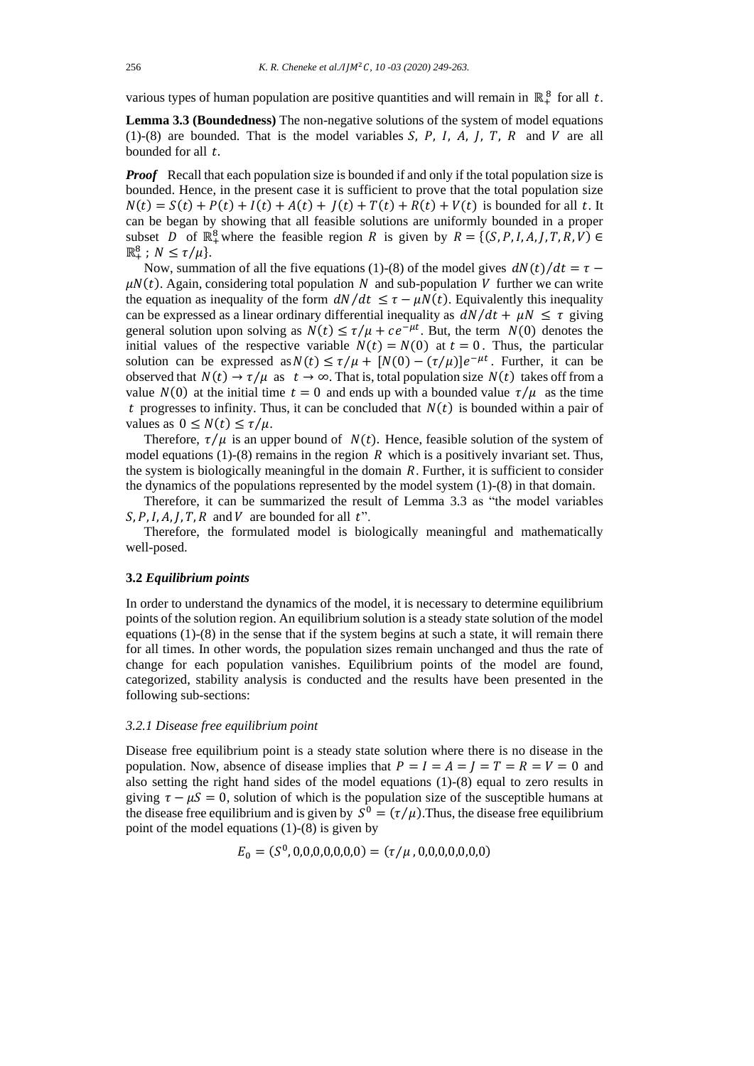various types of human population are positive quantities and will remain in  $\mathbb{R}^8_+$  for all t.

**Lemma 3.3 (Boundedness)** The non-negative solutions of the system of model equations (1)-(8) are bounded. That is the model variables  $S$ ,  $P$ ,  $I$ ,  $A$ ,  $I$ ,  $T$ ,  $R$  and  $V$  are all bounded for all  $t$ .

*Proof* Recall that each population size is bounded if and only if the total population size is bounded. Hence, in the present case it is sufficient to prove that the total population size  $N(t) = S(t) + P(t) + I(t) + A(t) + J(t) + T(t) + R(t) + V(t)$  is bounded for all t. It can be began by showing that all feasible solutions are uniformly bounded in a proper subset D of  $\mathbb{R}^8_+$  where the feasible region R is given by  $R = \{(S, P, I, A, J, T, R, V) \in$  $\mathbb{R}^8_+$ ;  $N \leq \tau/\mu$ .

Now, summation of all the five equations (1)-(8) of the model gives  $dN(t)/dt = \tau$  –  $\mu N(t)$ . Again, considering total population N and sub-population V further we can write the equation as inequality of the form  $dN/dt \leq \tau - \mu N(t)$ . Equivalently this inequality can be expressed as a linear ordinary differential inequality as  $dN/dt + \mu N \leq \tau$  giving general solution upon solving as  $N(t) \le \tau / \mu + ce^{-\mu t}$ . But, the term  $N(0)$  denotes the initial values of the respective variable  $N(t) = N(0)$  at  $t = 0$ . Thus, the particular solution can be expressed as  $N(t) \le \tau/\mu + [N(0) - (\tau/\mu)]e^{-\mu t}$ . Further, it can be observed that  $N(t) \to \tau/\mu$  as  $t \to \infty$ . That is, total population size  $N(t)$  takes off from a value  $N(0)$  at the initial time  $t = 0$  and ends up with a bounded value  $\tau / \mu$  as the time t progresses to infinity. Thus, it can be concluded that  $N(t)$  is bounded within a pair of values as  $0 \leq N(t) \leq \tau/\mu$ .

Therefore,  $\tau/\mu$  is an upper bound of  $N(t)$ . Hence, feasible solution of the system of model equations (1)-(8) remains in the region  $R$  which is a positively invariant set. Thus, the system is biologically meaningful in the domain  $R$ . Further, it is sufficient to consider the dynamics of the populations represented by the model system (1)-(8) in that domain.

Therefore, it can be summarized the result of Lemma 3.3 as "the model variables  $S, P, I, A, J, T, R$  and  $V$  are bounded for all t".

Therefore, the formulated model is biologically meaningful and mathematically well-posed.

## **3.2** *Equilibrium points*

In order to understand the dynamics of the model, it is necessary to determine equilibrium points of the solution region. An equilibrium solution is a steady state solution of the model equations (1)-(8) in the sense that if the system begins at such a state, it will remain there for all times. In other words, the population sizes remain unchanged and thus the rate of change for each population vanishes. Equilibrium points of the model are found, categorized, stability analysis is conducted and the results have been presented in the following sub-sections:

# *3.2.1 Disease free equilibrium point*

Disease free equilibrium point is a steady state solution where there is no disease in the population. Now, absence of disease implies that  $P = I = A = I = T = R = V = 0$  and also setting the right hand sides of the model equations (1)-(8) equal to zero results in giving  $\tau - \mu S = 0$ , solution of which is the population size of the susceptible humans at the disease free equilibrium and is given by  $S^0 = (\tau/\mu)$ . Thus, the disease free equilibrium point of the model equations  $(1)-(8)$  is given by

$$
E_0 = (S^0, 0, 0, 0, 0, 0, 0, 0) = (\tau / \mu, 0, 0, 0, 0, 0, 0, 0)
$$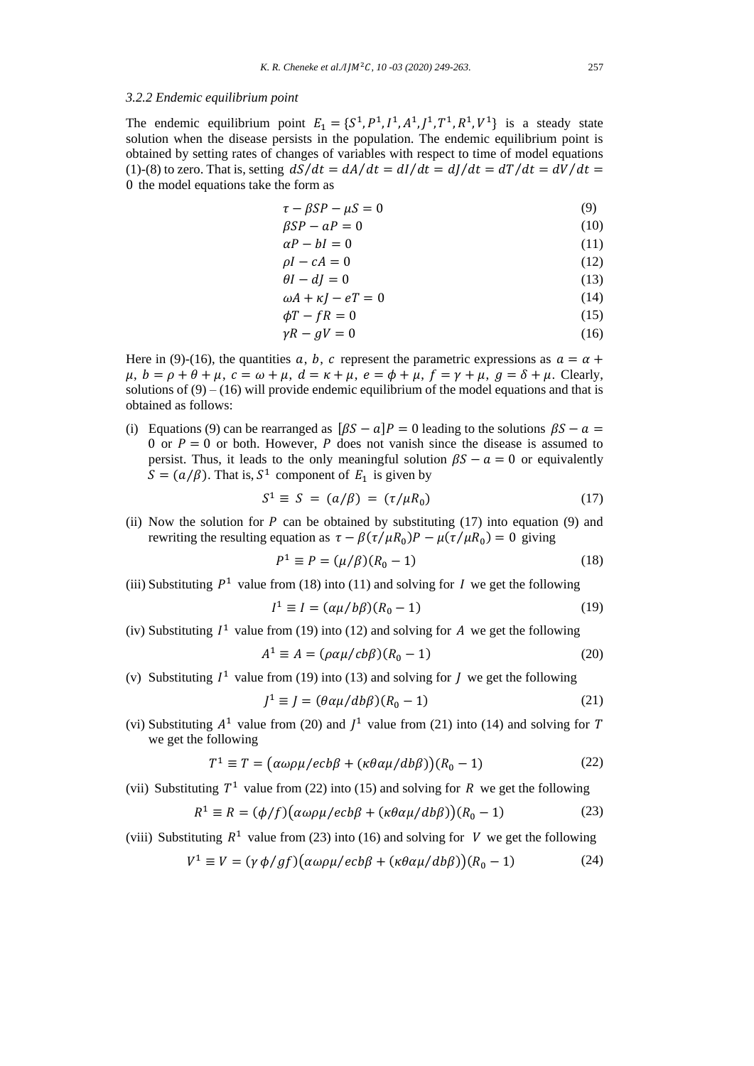## *3.2.2 Endemic equilibrium point*

The endemic equilibrium point  $E_1 = \{S^1, P^1, I^1, A^1, J^1, T^1, R^1, V^1\}$  is a steady state solution when the disease persists in the population. The endemic equilibrium point is obtained by setting rates of changes of variables with respect to time of model equations (1)-(8) to zero. That is, setting  $dS/dt = dA/dt = dI/dt = dJ/dt = dT/dt = dV/dt =$ 0 the model equations take the form as

$$
\tau - \beta SP - \mu S = 0 \tag{9}
$$

$$
\beta SP - aP = 0 \tag{10}
$$

$$
\alpha P - bI = 0 \tag{11}
$$

$$
\rho I - cA = 0 \tag{12}
$$
\n
$$
\rho I - dI = 0 \tag{13}
$$

$$
u - u = 0 \tag{13}
$$
\n
$$
uA + \kappa I - eT = 0 \tag{14}
$$

$$
\begin{aligned}\n\omega A + \kappa J - eI &= 0 \\
\phi T - fR &= 0\n\end{aligned}\n\tag{14}
$$

$$
\gamma P - qV = 0 \tag{16}
$$

$$
y_1 y_2 = 0 \tag{10}
$$

Here in (9)-(16), the quantities a, b, c represent the parametric expressions as  $a = \alpha +$  $\mu$ ,  $b = \rho + \theta + \mu$ ,  $c = \omega + \mu$ ,  $d = \kappa + \mu$ ,  $e = \phi + \mu$ ,  $f = \gamma + \mu$ ,  $g = \delta + \mu$ . Clearly, solutions of  $(9) - (16)$  will provide endemic equilibrium of the model equations and that is obtained as follows:

(i) Equations (9) can be rearranged as  $[\beta S - \alpha]P = 0$  leading to the solutions  $\beta S - \alpha =$ 0 or  $P = 0$  or both. However, P does not vanish since the disease is assumed to persist. Thus, it leads to the only meaningful solution  $\beta S - a = 0$  or equivalently  $S = (a/\beta)$ . That is,  $S^1$  component of  $E_1$  is given by

$$
S^1 \equiv S = (a/\beta) = (\tau/\mu R_0) \tag{17}
$$

(ii) Now the solution for  $P$  can be obtained by substituting (17) into equation (9) and rewriting the resulting equation as  $\tau - \beta(\tau/\mu R_0)P - \mu(\tau/\mu R_0) = 0$  giving

$$
P^1 \equiv P = (\mu/\beta)(R_0 - 1)
$$
 (18)

(iii) Substituting  $P^1$  value from (18) into (11) and solving for I we get the following

$$
I^1 \equiv I = (\alpha \mu / b\beta)(R_0 - 1) \tag{19}
$$

(iv) Substituting  $I^1$  value from (19) into (12) and solving for A we get the following

$$
A^{1} \equiv A = (\rho \alpha \mu / cb\beta)(R_{0} - 1)
$$
 (20)

(v) Substituting  $I^1$  value from (19) into (13) and solving for  $J$  we get the following

$$
J^1 \equiv J = (\theta \alpha \mu / d b \beta)(R_0 - 1) \tag{21}
$$

(vi) Substituting  $A^1$  value from (20) and  $J^1$  value from (21) into (14) and solving for T we get the following

$$
T^{1} \equiv T = (\alpha \omega \rho \mu / ecb\beta + (\kappa \theta \alpha \mu / db\beta))(R_{0} - 1)
$$
 (22)

(vii) Substituting  $T^1$  value from (22) into (15) and solving for R we get the following

$$
R^{1} \equiv R = (\phi/f)(\alpha\omega\rho\mu/ecb\beta + (\kappa\theta\alpha\mu/db\beta))(R_{0} - 1)
$$
 (23)

(viii) Substituting  $R^1$  value from (23) into (16) and solving for V we get the following

$$
V^{1} \equiv V = (\gamma \phi / gf) (\alpha \omega \rho \mu / ecb\beta + (\kappa \theta \alpha \mu / db\beta)) (R_{0} - 1)
$$
 (24)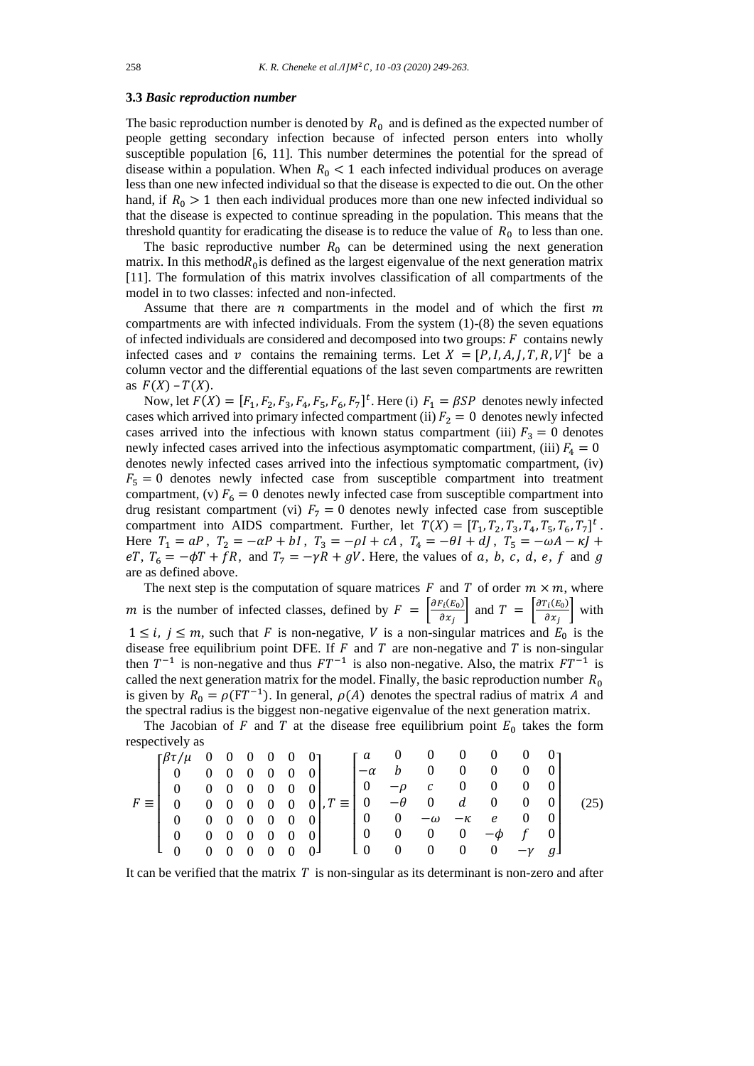# **3.3** *Basic reproduction number*

The basic reproduction number is denoted by  $R_0$  and is defined as the expected number of people getting secondary infection because of infected person enters into wholly susceptible population [6, 11]. This number determines the potential for the spread of disease within a population. When  $R_0 < 1$  each infected individual produces on average less than one new infected individual so that the disease is expected to die out. On the other hand, if  $R_0 > 1$  then each individual produces more than one new infected individual so that the disease is expected to continue spreading in the population. This means that the threshold quantity for eradicating the disease is to reduce the value of  $R_0$  to less than one.

The basic reproductive number  $R_0$  can be determined using the next generation matrix. In this method $R_0$  is defined as the largest eigenvalue of the next generation matrix [11]. The formulation of this matrix involves classification of all compartments of the model in to two classes: infected and non-infected.

Assume that there are  $n$  compartments in the model and of which the first  $m$ compartments are with infected individuals. From the system (1)-(8) the seven equations of infected individuals are considered and decomposed into two groups:  $F$  contains newly infected cases and v contains the remaining terms. Let  $X = [P, I, A, J, T, R, V]^t$  be a column vector and the differential equations of the last seven compartments are rewritten as  $F(X) - T(X)$ .

Now, let  $F(X) = [F_1, F_2, F_3, F_4, F_5, F_6, F_7]^t$ . Here (i)  $F_1 = \beta SP$  denotes newly infected cases which arrived into primary infected compartment (ii)  $F_2 = 0$  denotes newly infected cases arrived into the infectious with known status compartment (iii)  $F_3 = 0$  denotes newly infected cases arrived into the infectious asymptomatic compartment, (iii)  $F_4 = 0$ denotes newly infected cases arrived into the infectious symptomatic compartment, (iv)  $F_5 = 0$  denotes newly infected case from susceptible compartment into treatment compartment, (v)  $F_6 = 0$  denotes newly infected case from susceptible compartment into drug resistant compartment (vi)  $F_7 = 0$  denotes newly infected case from susceptible compartment into AIDS compartment. Further, let  $T(X) = [T_1, T_2, T_3, T_4, T_5, T_6, T_7]^t$ . Here  $T_1 = aP$ ,  $T_2 = -aP + bI$ ,  $T_3 = -pI + cA$ ,  $T_4 = -\theta I + dJ$ ,  $T_5 = -\omega A - \kappa J + dJ$ eT,  $T_6 = -\phi T + fR$ , and  $T_7 = -\gamma R + gV$ . Here, the values of a, b, c, d, e, f and g are as defined above.

The next step is the computation of square matrices  $F$  and  $T$  of order  $m \times m$ , where m is the number of infected classes, defined by  $F = \begin{bmatrix} \frac{\partial F_i(E_0)}{\partial x} \end{bmatrix}$  $\frac{\sigma_i(E_0)}{\partial x_j}$  and  $T = \begin{bmatrix} \frac{\partial T_i(E_0)}{\partial x_j} \end{bmatrix}$  $\frac{\partial u^{(E_0)}}{\partial x_j}$  with  $1 \le i, j \le m$ , such that F is non-negative, V is a non-singular matrices and  $E_0$  is the disease free equilibrium point DFE. If  $F$  and  $T$  are non-negative and  $T$  is non-singular then  $T^{-1}$  is non-negative and thus  $FT^{-1}$  is also non-negative. Also, the matrix  $FT^{-1}$  is called the next generation matrix for the model. Finally, the basic reproduction number  $R_0$ is given by  $R_0 = \rho (FT^{-1})$ . In general,  $\rho(A)$  denotes the spectral radius of matrix A and the spectral radius is the biggest non-negative eigenvalue of the next generation matrix.

The Jacobian of  $F$  and  $T$  at the disease free equilibrium point  $E_0$  takes the form respectively as

| $\int \frac{\beta \tau}{\mu}$ 0 0 0 0 0 0 0               |  |  |                                                                                                                  |                                                                       | г <i>а</i> 0 0 0 0 0 0 1                                            |  |  |      |
|-----------------------------------------------------------|--|--|------------------------------------------------------------------------------------------------------------------|-----------------------------------------------------------------------|---------------------------------------------------------------------|--|--|------|
| $\begin{bmatrix} 0 & 0 & 0 & 0 & 0 & 0 & 0 \end{bmatrix}$ |  |  |                                                                                                                  |                                                                       | $\begin{bmatrix} -\alpha & b & 0 & 0 & 0 & 0 & 0 \end{bmatrix}$     |  |  |      |
| $\begin{bmatrix} 0 & 0 & 0 & 0 & 0 & 0 & 0 \end{bmatrix}$ |  |  |                                                                                                                  | $\begin{bmatrix} 0 & -\rho & c & 0 & 0 & 0 & 0 \end{bmatrix}$         |                                                                     |  |  |      |
|                                                           |  |  | $F \equiv \begin{bmatrix} 0 & 0 & 0 & 0 & 0 & 0 \\ 0 & 0 & 0 & 0 & 0 & 0 \\ 0 & 0 & 0 & 0 & 0 & 0 \end{bmatrix}$ |                                                                       |                                                                     |  |  | (25) |
| $\begin{bmatrix} 0 & 0 & 0 & 0 & 0 & 0 & 0 \end{bmatrix}$ |  |  |                                                                                                                  | $\begin{bmatrix} 0 & 0 & -\omega & -\kappa & e & 0 & 0 \end{bmatrix}$ |                                                                     |  |  |      |
| $\begin{bmatrix} 0 & 0 & 0 & 0 & 0 & 0 & 0 \end{bmatrix}$ |  |  |                                                                                                                  | $\begin{bmatrix} 0 & 0 & 0 & 0 & -\phi & f & 0 \end{bmatrix}$         |                                                                     |  |  |      |
| $\begin{bmatrix} 0 & 0 & 0 & 0 & 0 & 0 & 0 \end{bmatrix}$ |  |  |                                                                                                                  |                                                                       | $\begin{bmatrix} 1 & 0 & 0 & 0 & 0 & 0 & -\gamma & g \end{bmatrix}$ |  |  |      |

It can be verified that the matrix  $T$  is non-singular as its determinant is non-zero and after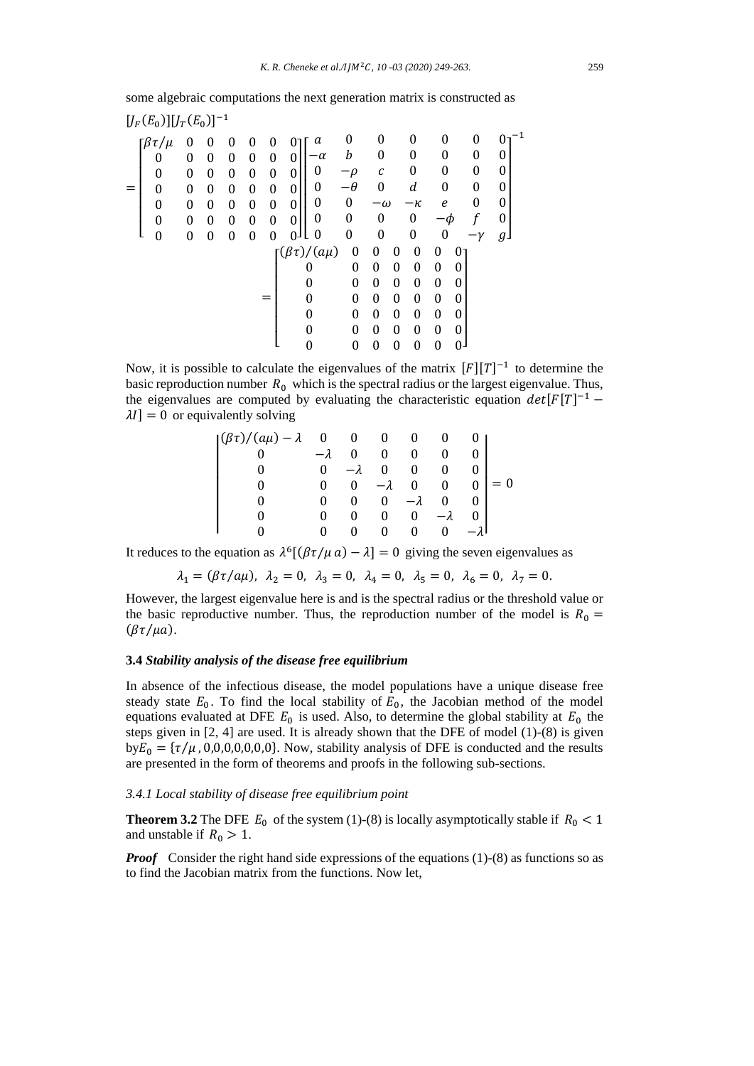some algebraic computations the next generation matrix is constructed as

$$
[J_F(E_0)][J_T(E_0)]^{-1}
$$
\n
$$
= \begin{bmatrix}\n\beta\tau/\mu & 0 & 0 & 0 & 0 & 0 & 0 \\
0 & 0 & 0 & 0 & 0 & 0 & 0 \\
0 & 0 & 0 & 0 & 0 & 0 & 0 \\
0 & 0 & 0 & 0 & 0 & 0 & 0 \\
0 & 0 & 0 & 0 & 0 & 0 & 0 \\
0 & 0 & 0 & 0 & 0 & 0 & 0 \\
0 & 0 & 0 & 0 & 0 & 0 & 0\n\end{bmatrix}\n\begin{bmatrix}\na & 0 & 0 & 0 & 0 & 0 & 0 \\
-\alpha & b & 0 & 0 & 0 & 0 & 0 \\
0 & -\rho & c & 0 & 0 & 0 & 0 \\
0 & 0 & -\alpha & -\kappa & e & 0 & 0 \\
0 & 0 & 0 & 0 & 0 & 0 & -\phi & f \\
0 & 0 & 0 & 0 & 0 & 0 & 0 & -\gamma & g\n\end{bmatrix}
$$
\n
$$
= \begin{bmatrix}\n(\beta\tau)/(a\mu) & 0 & 0 & 0 & 0 & 0 & 0 \\
0 & 0 & 0 & 0 & 0 & 0 & 0 & 0 \\
0 & 0 & 0 & 0 & 0 & 0 & 0 & 0 \\
0 & 0 & 0 & 0 & 0 & 0 & 0 & 0 \\
0 & 0 & 0 & 0 & 0 & 0 & 0 & 0 \\
0 & 0 & 0 & 0 & 0 & 0 & 0 & 0 \\
0 & 0 & 0 & 0 & 0 & 0 & 0 & 0\n\end{bmatrix}
$$

Now, it is possible to calculate the eigenvalues of the matrix  $[F][T]^{-1}$  to determine the basic reproduction number  $R_0$  which is the spectral radius or the largest eigenvalue. Thus, the eigenvalues are computed by evaluating the characteristic equation  $det[F[T]^{-1}$  –  $\lambda I$  = 0 or equivalently solving

$$
\begin{vmatrix}\n(\beta \tau)/(a\mu) - \lambda & 0 & 0 & 0 & 0 & 0 & 0 \\
0 & -\lambda & 0 & 0 & 0 & 0 & 0 \\
0 & 0 & -\lambda & 0 & 0 & 0 & 0 \\
0 & 0 & 0 & -\lambda & 0 & 0 & 0 \\
0 & 0 & 0 & 0 & -\lambda & 0 & 0 \\
0 & 0 & 0 & 0 & 0 & -\lambda & 0 \\
0 & 0 & 0 & 0 & 0 & 0 & -\lambda\n\end{vmatrix} = 0
$$

It reduces to the equation as  $\lambda^6[(\beta \tau / \mu a) - \lambda] = 0$  giving the seven eigenvalues as

$$
\lambda_1 = (\beta \tau / a \mu), \lambda_2 = 0, \lambda_3 = 0, \lambda_4 = 0, \lambda_5 = 0, \lambda_6 = 0, \lambda_7 = 0.
$$

However, the largest eigenvalue here is and is the spectral radius or the threshold value or the basic reproductive number. Thus, the reproduction number of the model is  $R_0 =$  $(\beta \tau / \mu a)$ .

## **3.4** *Stability analysis of the disease free equilibrium*

In absence of the infectious disease, the model populations have a unique disease free steady state  $E_0$ . To find the local stability of  $E_0$ , the Jacobian method of the model equations evaluated at DFE  $E_0$  is used. Also, to determine the global stability at  $E_0$  the steps given in [2, 4] are used. It is already shown that the DFE of model (1)-(8) is given  $b_0 = \{ \tau / \mu, 0, 0, 0, 0, 0, 0 \}$ . Now, stability analysis of DFE is conducted and the results are presented in the form of theorems and proofs in the following sub-sections.

#### *3.4.1 Local stability of disease free equilibrium point*

**Theorem 3.2** The DFE  $E_0$  of the system (1)-(8) is locally asymptotically stable if  $R_0 < 1$ and unstable if  $R_0 > 1$ .

*Proof* Consider the right hand side expressions of the equations (1)-(8) as functions so as to find the Jacobian matrix from the functions. Now let,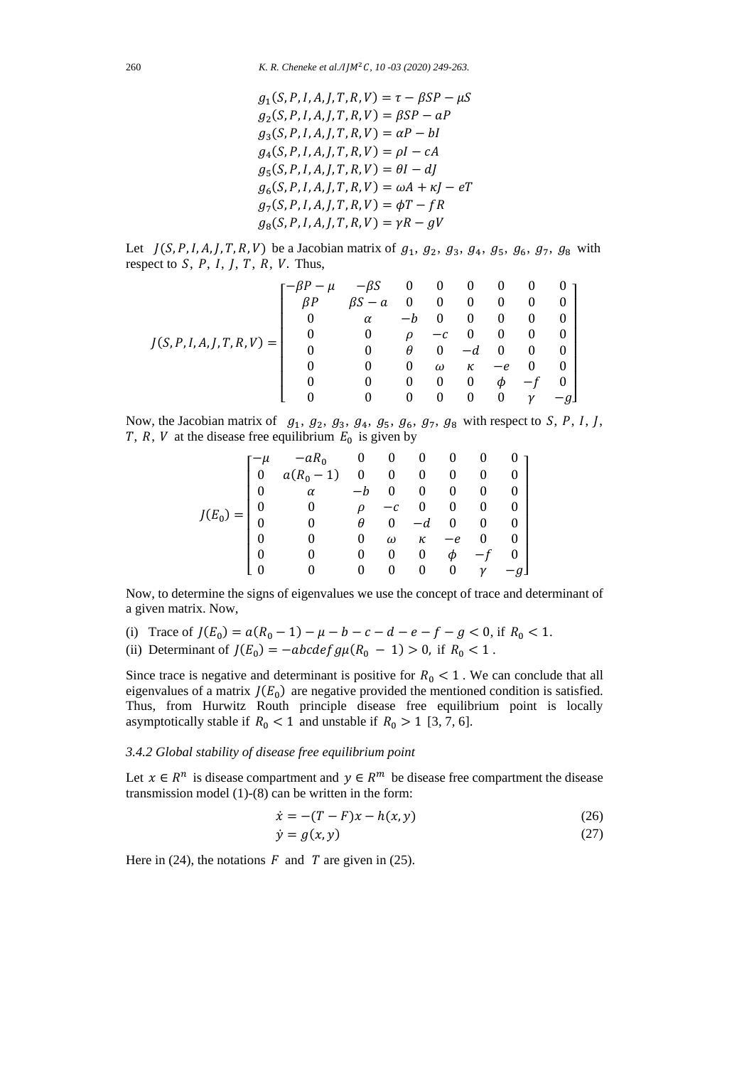$$
g_1(S, P, I, A, J, T, R, V) = \tau - \beta SP - \mu S
$$
  
\n
$$
g_2(S, P, I, A, J, T, R, V) = \beta SP - aP
$$
  
\n
$$
g_3(S, P, I, A, J, T, R, V) = \alpha P - bI
$$
  
\n
$$
g_4(S, P, I, A, J, T, R, V) = \rho I - cA
$$
  
\n
$$
g_5(S, P, I, A, J, T, R, V) = \theta I - dJ
$$
  
\n
$$
g_6(S, P, I, A, J, T, R, V) = \omega A + \kappa J - eT
$$
  
\n
$$
g_7(S, P, I, A, J, T, R, V) = \phi T - fR
$$
  
\n
$$
g_8(S, P, I, A, J, T, R, V) = \gamma R - gV
$$

Let  $J(S, P, I, A, J, T, R, V)$  be a Jacobian matrix of  $g_1, g_2, g_3, g_4, g_5, g_6, g_7, g_8$  with respect to  $S$ ,  $P$ ,  $I$ ,  $J$ ,  $T$ ,  $R$ ,  $V$ . Thus,

$$
J(S, P, I, A, J, T, R, V) = \begin{bmatrix} -\beta P - \mu & -\beta S & 0 & 0 & 0 & 0 & 0 & 0 \\ \beta P & \beta S - a & 0 & 0 & 0 & 0 & 0 & 0 \\ 0 & \alpha & -b & 0 & 0 & 0 & 0 & 0 \\ 0 & 0 & \rho & -c & 0 & 0 & 0 & 0 \\ 0 & 0 & \theta & 0 & -d & 0 & 0 & 0 \\ 0 & 0 & 0 & \omega & \kappa & -e & 0 & 0 \\ 0 & 0 & 0 & 0 & 0 & \phi & -f & 0 \\ 0 & 0 & 0 & 0 & 0 & 0 & \gamma & -g \end{bmatrix}
$$

Now, the Jacobian matrix of  $g_1$ ,  $g_2$ ,  $g_3$ ,  $g_4$ ,  $g_5$ ,  $g_6$ ,  $g_7$ ,  $g_8$  with respect to S, P, I, J, T, R, V at the disease free equilibrium  $E_0$  is given by

$$
J(E_0) = \begin{bmatrix} -\mu & -aR_0 & 0 & 0 & 0 & 0 & 0 & 0 \\ 0 & a(R_0 - 1) & 0 & 0 & 0 & 0 & 0 & 0 \\ 0 & \alpha & -b & 0 & 0 & 0 & 0 & 0 \\ 0 & 0 & \rho & -c & 0 & 0 & 0 & 0 \\ 0 & 0 & \theta & 0 & -d & 0 & 0 & 0 \\ 0 & 0 & 0 & \omega & \kappa & -e & 0 & 0 \\ 0 & 0 & 0 & 0 & 0 & \phi & -f & 0 \\ 0 & 0 & 0 & 0 & 0 & 0 & \gamma & -g \end{bmatrix}
$$

Now, to determine the signs of eigenvalues we use the concept of trace and determinant of a given matrix. Now,

- (i) Trace of  $J(E_0) = a(R_0 1) \mu b c d e f g < 0$ , if  $R_0 < 1$ .
- (ii) Determinant of  $J(E_0) = -abcdefg\mu(R_0 1) > 0$ , if  $R_0 < 1$ .

Since trace is negative and determinant is positive for  $R_0 < 1$ . We can conclude that all eigenvalues of a matrix  $J(E_0)$  are negative provided the mentioned condition is satisfied. Thus, from Hurwitz Routh principle disease free equilibrium point is locally asymptotically stable if  $R_0 < 1$  and unstable if  $R_0 > 1$  [3, 7, 6].

# *3.4.2 Global stability of disease free equilibrium point*

Let  $x \in R^n$  is disease compartment and  $y \in R^m$  be disease free compartment the disease transmission model (1)-(8) can be written in the form:

$$
\dot{x} = -(T - F)x - h(x, y) \tag{26}
$$

$$
\dot{y} = g(x, y) \tag{27}
$$

Here in (24), the notations  $F$  and  $T$  are given in (25).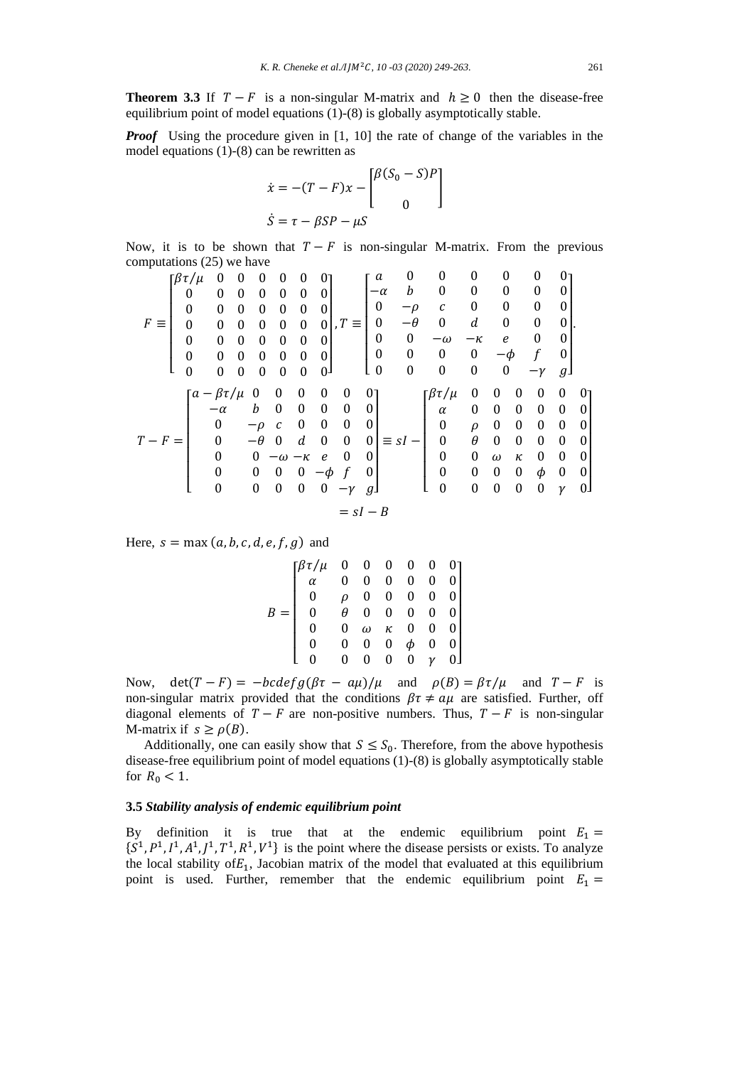**Theorem 3.3** If  $T - F$  is a non-singular M-matrix and  $h \ge 0$  then the disease-free equilibrium point of model equations (1)-(8) is globally asymptotically stable.

*Proof* Using the procedure given in [1, 10] the rate of change of the variables in the model equations (1)-(8) can be rewritten as

$$
\dot{x} = -(T - F)x - \begin{bmatrix} \beta(S_0 - S)P \\ 0 \end{bmatrix}
$$

$$
\dot{S} = \tau - \beta SP - \mu S
$$

Now, it is to be shown that  $T - F$  is non-singular M-matrix. From the previous computations (25) we have

$$
F \equiv \begin{bmatrix} \beta \tau / \mu & 0 & 0 & 0 & 0 & 0 & 0 \\ 0 & 0 & 0 & 0 & 0 & 0 & 0 \\ 0 & 0 & 0 & 0 & 0 & 0 & 0 \\ 0 & 0 & 0 & 0 & 0 & 0 & 0 \\ 0 & 0 & 0 & 0 & 0 & 0 & 0 \\ 0 & 0 & 0 & 0 & 0 & 0 & 0 \end{bmatrix}, T \equiv \begin{bmatrix} a & 0 & 0 & 0 & 0 & 0 & 0 \\ -a & b & 0 & 0 & 0 & 0 & 0 & 0 \\ 0 & -\rho & c & 0 & 0 & 0 & 0 & 0 \\ 0 & -\theta & 0 & d & 0 & 0 & 0 & 0 \\ 0 & 0 & 0 & 0 & 0 & 0 & 0 & -\gamma & g \end{bmatrix}.
$$
  
\n
$$
T - F = \begin{bmatrix} a - \beta \tau / \mu & 0 & 0 & 0 & 0 & 0 & 0 \\ -\alpha & b & 0 & 0 & 0 & 0 & 0 & 0 \\ 0 & -\rho & c & 0 & 0 & 0 & 0 & 0 \\ 0 & -\rho & c & 0 & 0 & 0 & 0 & 0 \\ 0 & 0 & -\omega - \kappa & e & 0 & 0 & 0 \\ 0 & 0 & 0 & 0 & -\phi & f & 0 & 0 \\ 0 & 0 & 0 & 0 & -\gamma & g \end{bmatrix} \equiv sI - \begin{bmatrix} \beta \tau / \mu & 0 & 0 & 0 & 0 & 0 & 0 \\ \alpha & 0 & 0 & 0 & 0 & 0 & 0 & 0 \\ 0 & \rho & 0 & 0 & 0 & 0 & 0 & 0 \\ 0 & 0 & 0 & 0 & 0 & 0 & 0 & 0 \\ 0 & 0 & 0 & 0 & 0 & 0 & 0 & 0 \\ 0 & 0 & 0 & 0 & 0 & 0 & 0 & 0 \\ 0 & 0 & 0 & 0 & 0 & 0 & 0 & 0 \\ 0 & 0 & 0 & 0 & 0 & 0 & 0 & 0 \end{bmatrix}
$$
  
\n
$$
= sI - B
$$

Here,  $s = \max(a, b, c, d, e, f, g)$  and

$$
B = \begin{bmatrix} \beta \tau / \mu & 0 & 0 & 0 & 0 & 0 & 0 \\ \alpha & 0 & 0 & 0 & 0 & 0 & 0 & 0 \\ 0 & \rho & 0 & 0 & 0 & 0 & 0 & 0 \\ 0 & \theta & 0 & 0 & 0 & 0 & 0 & 0 \\ 0 & 0 & \omega & \kappa & 0 & 0 & 0 & 0 \\ 0 & 0 & 0 & 0 & \phi & 0 & 0 & 0 \\ 0 & 0 & 0 & 0 & 0 & \gamma & 0 & 0 \end{bmatrix}
$$

Now, det( $T - F$ ) =  $-\frac{bcdefg(\beta \tau - a\mu)}{\mu}$  and  $\rho(B) = \frac{\beta \tau}{\mu}$  and  $T - F$  is non-singular matrix provided that the conditions  $\beta \tau \neq a\mu$  are satisfied. Further, off diagonal elements of  $T - F$  are non-positive numbers. Thus,  $T - F$  is non-singular M-matrix if  $s \geq \rho(B)$ .

Additionally, one can easily show that  $S \leq S_0$ . Therefore, from the above hypothesis disease-free equilibrium point of model equations (1)-(8) is globally asymptotically stable for  $R_0 < 1$ .

#### **3.5** *Stability analysis of endemic equilibrium point*

By definition it is true that at the endemic equilibrium point  $E_1 =$  $\{S^1, P^1, I^1, A^1, J^1, T^1, R^1, V^1\}$  is the point where the disease persists or exists. To analyze the local stability of $E_1$ , Jacobian matrix of the model that evaluated at this equilibrium point is used. Further, remember that the endemic equilibrium point  $E_1 =$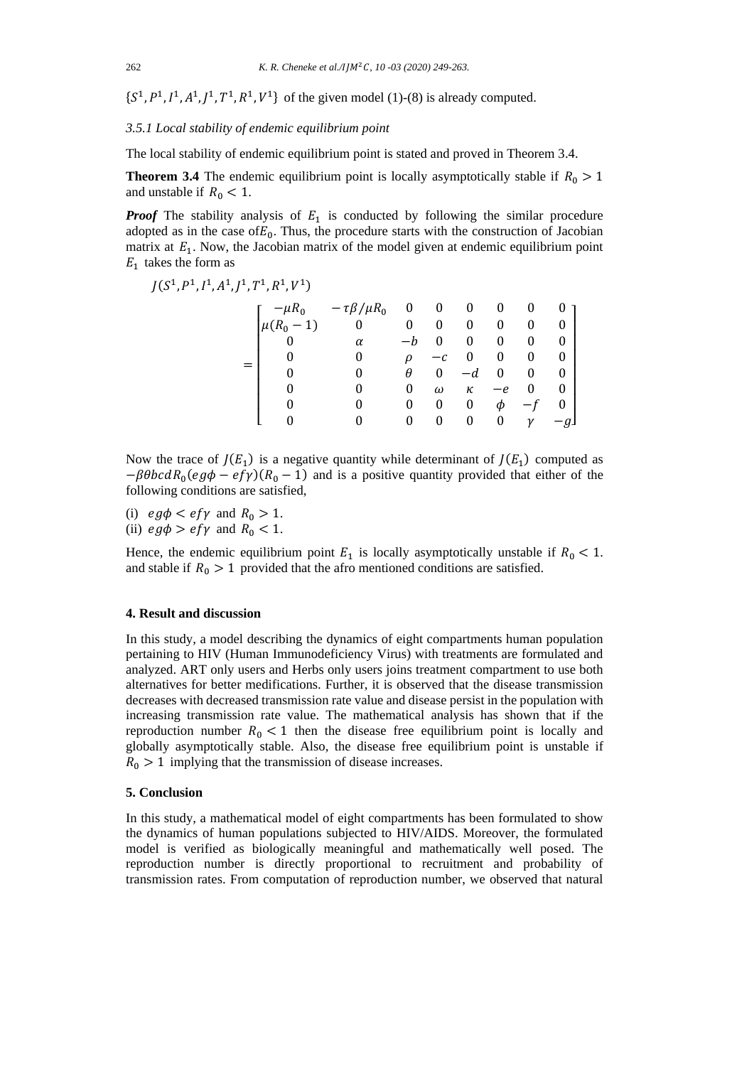$\{S^1, P^1, I^1, A^1, J^1, T^1, R^1, V^1\}$  of the given model (1)-(8) is already computed.

*3.5.1 Local stability of endemic equilibrium point*

The local stability of endemic equilibrium point is stated and proved in Theorem 3.4.

**Theorem 3.4** The endemic equilibrium point is locally asymptotically stable if  $R_0 > 1$ and unstable if  $R_0 < 1$ .

*Proof* The stability analysis of  $E_1$  is conducted by following the similar procedure adopted as in the case of  $E_0$ . Thus, the procedure starts with the construction of Jacobian matrix at  $E_1$ . Now, the Jacobian matrix of the model given at endemic equilibrium point  $E_1$  takes the form as

 $J(S^1, P^1, I^1, A^1, J^1, T^1, R^1, V^1)$ =  $\lfloor$ I I I I I I  $\begin{bmatrix} -\mu R_0 & -\tau \beta / \mu R_0 & 0 & 0 & 0 & 0 & 0 \ \mu (R_0 & 1) & 0 & 0 & 0 & 0 & 0 & 0 \end{bmatrix}$  $\mu(R_0 - 1)$  0 0 0 0 0 0 0 0 *α* −*b* 0 0 0 0 0 0 0 0 *ρ* −*c* 0 0 0 0 0 0 *θ* 0 −*d* 0 0 0  $0$  0 0  $\omega$   $\kappa$   $-e$  0 0  $0 \t 0 \t 0 \t 0 \t 0 \t \phi -f \t 0$  $0$  0 0 0 0 0  $\gamma$   $-g$ 

 $\overline{\phantom{a}}$  $\overline{\phantom{a}}$  $\overline{\phantom{a}}$  $\overline{\phantom{a}}$  $\overline{\phantom{a}}$  $\overline{\phantom{a}}$  $\overline{\phantom{a}}$ 

Now the trace of  $J(E_1)$  is a negative quantity while determinant of  $J(E_1)$  computed as  $-\beta \theta b c dR_0 (eg\phi - e f \gamma)(R_0 - 1)$  and is a positive quantity provided that either of the following conditions are satisfied,

(i)  $eg\phi < ef\gamma$  and  $R_0 > 1$ .

(ii)  $eg\phi > ef\gamma$  and  $R_0 < 1$ .

Hence, the endemic equilibrium point  $E_1$  is locally asymptotically unstable if  $R_0 < 1$ . and stable if  $R_0 > 1$  provided that the afro mentioned conditions are satisfied.

#### **4. Result and discussion**

In this study, a model describing the dynamics of eight compartments human population pertaining to HIV (Human Immunodeficiency Virus) with treatments are formulated and analyzed. ART only users and Herbs only users joins treatment compartment to use both alternatives for better medifications. Further, it is observed that the disease transmission decreases with decreased transmission rate value and disease persist in the population with increasing transmission rate value. The mathematical analysis has shown that if the reproduction number  $R_0 < 1$  then the disease free equilibrium point is locally and globally asymptotically stable. Also, the disease free equilibrium point is unstable if  $R_0 > 1$  implying that the transmission of disease increases.

#### **5. Conclusion**

In this study, a mathematical model of eight compartments has been formulated to show the dynamics of human populations subjected to HIV/AIDS. Moreover, the formulated model is verified as biologically meaningful and mathematically well posed. The reproduction number is directly proportional to recruitment and probability of transmission rates. From computation of reproduction number, we observed that natural